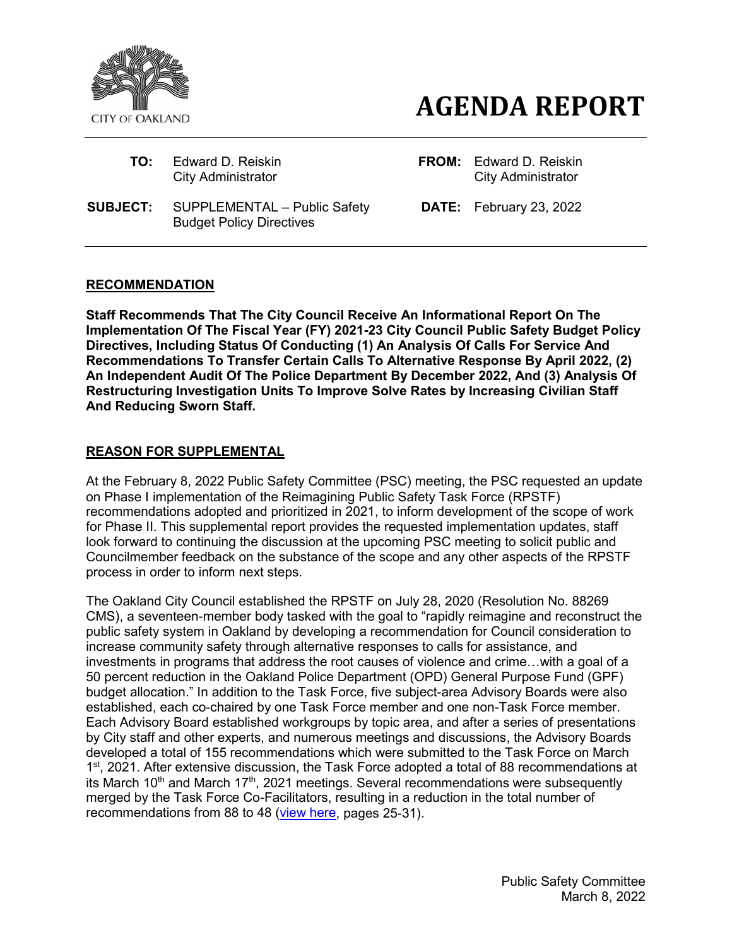

# *AGENDA REPORT*

- 
- **SUBJECT:** SUPPLEMENTAL Public Safety Budget Policy Directives

**TO:** Edward D. Reiskin **FROM:** Edward D. Reiskin **City Administrator City Administrator City Administrator** 

**DATE:** February 23, 2022

## **RECOMMENDATION**

**Staff Recommends That The City Council Receive An Informational Report On The Implementation Of The Fiscal Year (FY) 2021-23 City Council Public Safety Budget Policy Directives, Including Status Of Conducting (1) An Analysis Of Calls For Service And Recommendations To Transfer Certain Calls To Alternative Response By April 2022, (2) An Independent Audit Of The Police Department By December 2022, And (3) Analysis Of Restructuring Investigation Units To Improve Solve Rates by Increasing Civilian Staff And Reducing Sworn Staff.**

# **REASON FOR SUPPLEMENTAL**

At the February 8, 2022 Public Safety Committee (PSC) meeting, the PSC requested an update on Phase I implementation of the Reimagining Public Safety Task Force (RPSTF) recommendations adopted and prioritized in 2021, to inform development of the scope of work for Phase II. This supplemental report provides the requested implementation updates, staff look forward to continuing the discussion at the upcoming PSC meeting to solicit public and Councilmember feedback on the substance of the scope and any other aspects of the RPSTF process in order to inform next steps.

The Oakland City Council established the RPSTF on July 28, 2020 (Resolution No. 88269 CMS), a seventeen-member body tasked with the goal to "rapidly reimagine and reconstruct the public safety system in Oakland by developing a recommendation for Council consideration to increase community safety through alternative responses to calls for assistance, and investments in programs that address the root causes of violence and crime…with a goal of a 50 percent reduction in the Oakland Police Department (OPD) General Purpose Fund (GPF) budget allocation." In addition to the Task Force, five subject-area Advisory Boards were also established, each co-chaired by one Task Force member and one non-Task Force member. Each Advisory Board established workgroups by topic area, and after a series of presentations by City staff and other experts, and numerous meetings and discussions, the Advisory Boards developed a total of 155 recommendations which were submitted to the Task Force on March 1<sup>st</sup>, 2021. After extensive discussion, the Task Force adopted a total of 88 recommendations at its March 10<sup>th</sup> and March 17<sup>th</sup>, 2021 meetings. Several recommendations were subsequently merged by the Task Force Co-Facilitators, resulting in a reduction in the total number of recommendations from 88 to 48 [\(view here,](https://www.oaklandca.gov/documents/reimagining-public-safety-task-force-report-and-recommendations-public-safety-committee-4-13-21) pages 25-31).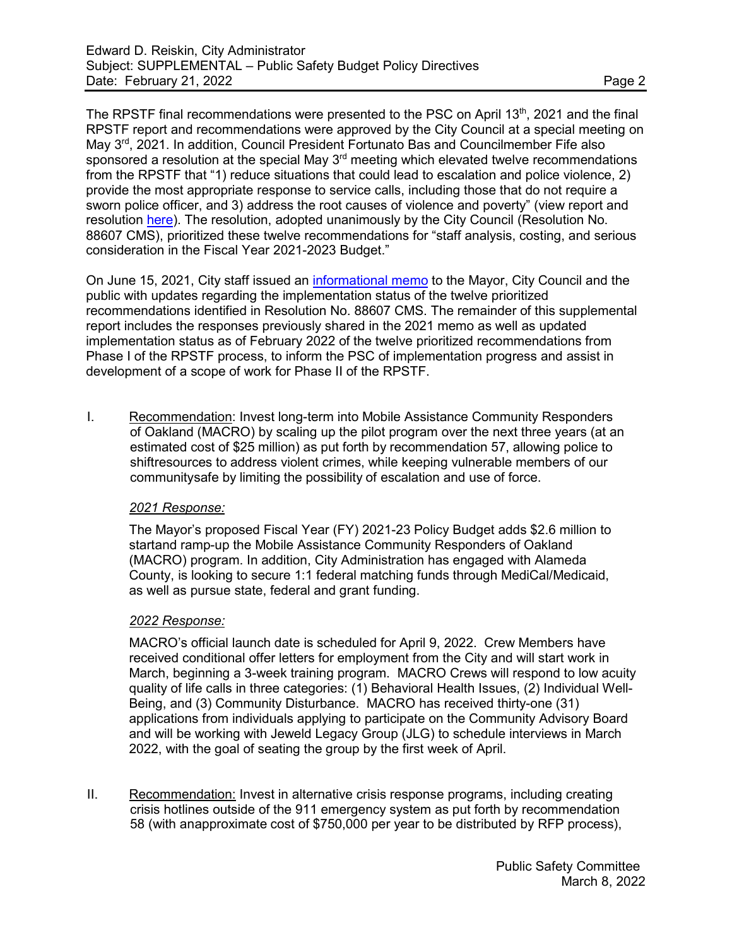The RPSTF final recommendations were presented to the PSC on April 13th, 2021 and the final RPSTF report and recommendations were approved by the City Council at a special meeting on May 3<sup>rd</sup>, 2021. In addition, Council President Fortunato Bas and Councilmember Fife also sponsored a resolution at the special May 3<sup>rd</sup> meeting which elevated twelve recommendations from the RPSTF that "1) reduce situations that could lead to escalation and police violence, 2) provide the most appropriate response to service calls, including those that do not require a sworn police officer, and 3) address the root causes of violence and poverty" (view report and resolution [here\)](https://oakland.legistar.com/LegislationDetail.aspx?ID=4930031&GUID=A7F09DD1-D055-4333-BAAC-2A15B8A6EE43). The resolution, adopted unanimously by the City Council (Resolution No. 88607 CMS), prioritized these twelve recommendations for "staff analysis, costing, and serious consideration in the Fiscal Year 2021-2023 Budget."

On June 15, 2021, City staff issued an [informational memo](https://cao-94612.s3.amazonaws.com/documents/Info-Memo_RPSTF_Reso-88607_Response.doc.pdf) to the Mayor, City Council and the public with updates regarding the implementation status of the twelve prioritized recommendations identified in Resolution No. 88607 CMS. The remainder of this supplemental report includes the responses previously shared in the 2021 memo as well as updated implementation status as of February 2022 of the twelve prioritized recommendations from Phase I of the RPSTF process, to inform the PSC of implementation progress and assist in development of a scope of work for Phase II of the RPSTF.

I. Recommendation: Invest long-term into Mobile Assistance Community Responders of Oakland (MACRO) by scaling up the pilot program over the next three years (at an estimated cost of \$25 million) as put forth by recommendation 57, allowing police to shiftresources to address violent crimes, while keeping vulnerable members of our communitysafe by limiting the possibility of escalation and use of force.

#### *2021 Response:*

The Mayor's proposed Fiscal Year (FY) 2021-23 Policy Budget adds \$2.6 million to startand ramp-up the Mobile Assistance Community Responders of Oakland (MACRO) program. In addition, City Administration has engaged with Alameda County, is looking to secure 1:1 federal matching funds through MediCal/Medicaid, as well as pursue state, federal and grant funding.

#### *2022 Response:*

MACRO's official launch date is scheduled for April 9, 2022. Crew Members have received conditional offer letters for employment from the City and will start work in March, beginning a 3-week training program. MACRO Crews will respond to low acuity quality of life calls in three categories: (1) Behavioral Health Issues, (2) Individual Well-Being, and (3) Community Disturbance. MACRO has received thirty-one (31) applications from individuals applying to participate on the Community Advisory Board and will be working with Jeweld Legacy Group (JLG) to schedule interviews in March 2022, with the goal of seating the group by the first week of April.

II. Recommendation: Invest in alternative crisis response programs, including creating crisis hotlines outside of the 911 emergency system as put forth by recommendation 58 (with anapproximate cost of \$750,000 per year to be distributed by RFP process),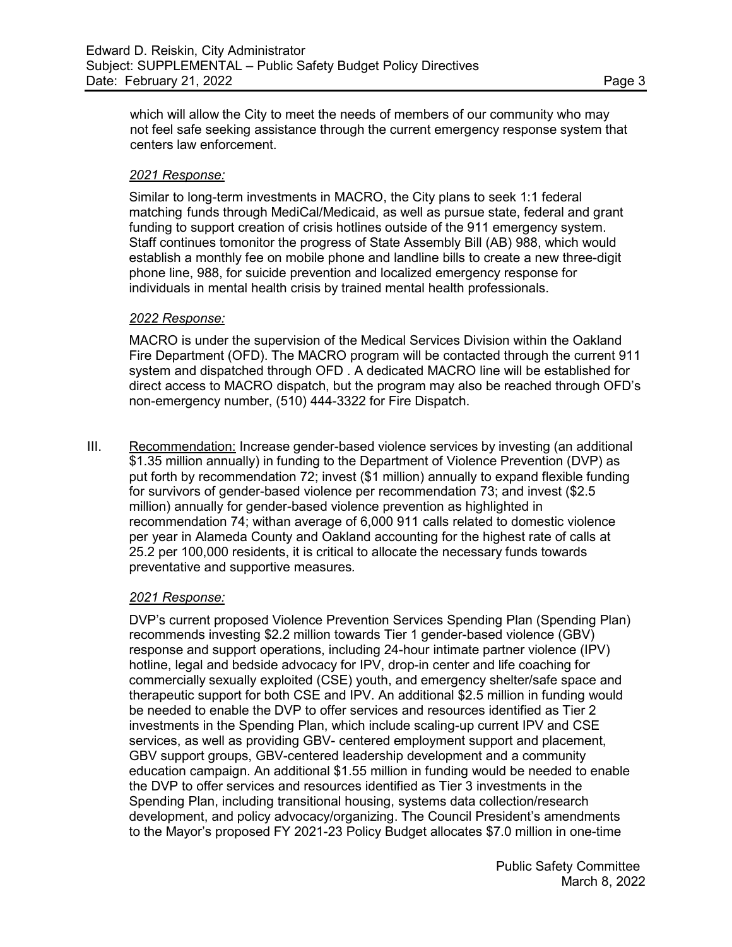which will allow the City to meet the needs of members of our community who may not feel safe seeking assistance through the current emergency response system that centers law enforcement.

#### *2021 Response:*

Similar to long-term investments in MACRO, the City plans to seek 1:1 federal matching funds through MediCal/Medicaid, as well as pursue state, federal and grant funding to support creation of crisis hotlines outside of the 911 emergency system. Staff continues tomonitor the progress of State Assembly Bill (AB) 988, which would establish a monthly fee on mobile phone and landline bills to create a new three-digit phone line, 988, for suicide prevention and localized emergency response for individuals in mental health crisis by trained mental health professionals.

#### *2022 Response:*

MACRO is under the supervision of the Medical Services Division within the Oakland Fire Department (OFD). The MACRO program will be contacted through the current 911 system and dispatched through OFD . A dedicated MACRO line will be established for direct access to MACRO dispatch, but the program may also be reached through OFD's non-emergency number, (510) 444-3322 for Fire Dispatch.

III. Recommendation: Increase gender-based violence services by investing (an additional \$1.35 million annually) in funding to the Department of Violence Prevention (DVP) as put forth by recommendation 72; invest (\$1 million) annually to expand flexible funding for survivors of gender-based violence per recommendation 73; and invest (\$2.5 million) annually for gender-based violence prevention as highlighted in recommendation 74; withan average of 6,000 911 calls related to domestic violence per year in Alameda County and Oakland accounting for the highest rate of calls at 25.2 per 100,000 residents, it is critical to allocate the necessary funds towards preventative and supportive measures*.*

## *2021 Response:*

DVP's current proposed Violence Prevention Services Spending Plan (Spending Plan) recommends investing \$2.2 million towards Tier 1 gender-based violence (GBV) response and support operations, including 24-hour intimate partner violence (IPV) hotline, legal and bedside advocacy for IPV, drop-in center and life coaching for commercially sexually exploited (CSE) youth, and emergency shelter/safe space and therapeutic support for both CSE and IPV. An additional \$2.5 million in funding would be needed to enable the DVP to offer services and resources identified as Tier 2 investments in the Spending Plan, which include scaling-up current IPV and CSE services, as well as providing GBV- centered employment support and placement, GBV support groups, GBV-centered leadership development and a community education campaign. An additional \$1.55 million in funding would be needed to enable the DVP to offer services and resources identified as Tier 3 investments in the Spending Plan, including transitional housing, systems data collection/research development, and policy advocacy/organizing. The Council President's amendments to the Mayor's proposed FY 2021-23 Policy Budget allocates \$7.0 million in one-time

> Public Safety Committee March 8, 2022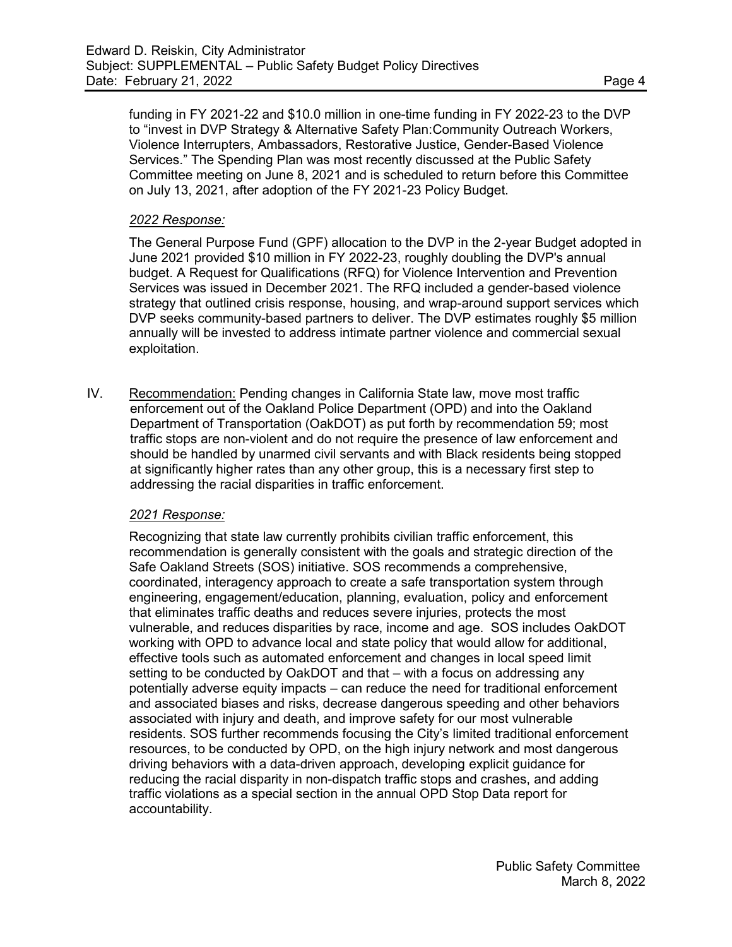funding in FY 2021-22 and \$10.0 million in one-time funding in FY 2022-23 to the DVP to "invest in DVP Strategy & Alternative Safety Plan:Community Outreach Workers, Violence Interrupters, Ambassadors, Restorative Justice, Gender-Based Violence Services." The Spending Plan was most recently discussed at the Public Safety Committee meeting on June 8, 2021 and is scheduled to return before this Committee on July 13, 2021, after adoption of the FY 2021-23 Policy Budget.

#### *2022 Response:*

The General Purpose Fund (GPF) allocation to the DVP in the 2-year Budget adopted in June 2021 provided \$10 million in FY 2022-23, roughly doubling the DVP's annual budget. A Request for Qualifications (RFQ) for Violence Intervention and Prevention Services was issued in December 2021. The RFQ included a gender-based violence strategy that outlined crisis response, housing, and wrap-around support services which DVP seeks community-based partners to deliver. The DVP estimates roughly \$5 million annually will be invested to address intimate partner violence and commercial sexual exploitation.

IV. Recommendation: Pending changes in California State law, move most traffic enforcement out of the Oakland Police Department (OPD) and into the Oakland Department of Transportation (OakDOT) as put forth by recommendation 59; most traffic stops are non-violent and do not require the presence of law enforcement and should be handled by unarmed civil servants and with Black residents being stopped at significantly higher rates than any other group, this is a necessary first step to addressing the racial disparities in traffic enforcement.

## *2021 Response:*

Recognizing that state law currently prohibits civilian traffic enforcement, this recommendation is generally consistent with the goals and strategic direction of the Safe Oakland Streets (SOS) initiative. SOS recommends a comprehensive, coordinated, interagency approach to create a safe transportation system through engineering, engagement/education, planning, evaluation, policy and enforcement that eliminates traffic deaths and reduces severe injuries, protects the most vulnerable, and reduces disparities by race, income and age. SOS includes OakDOT working with OPD to advance local and state policy that would allow for additional, effective tools such as automated enforcement and changes in local speed limit setting to be conducted by OakDOT and that – with a focus on addressing any potentially adverse equity impacts – can reduce the need for traditional enforcement and associated biases and risks, decrease dangerous speeding and other behaviors associated with injury and death, and improve safety for our most vulnerable residents. SOS further recommends focusing the City's limited traditional enforcement resources, to be conducted by OPD, on the high injury network and most dangerous driving behaviors with a data-driven approach, developing explicit guidance for reducing the racial disparity in non-dispatch traffic stops and crashes, and adding traffic violations as a special section in the annual OPD Stop Data report for accountability.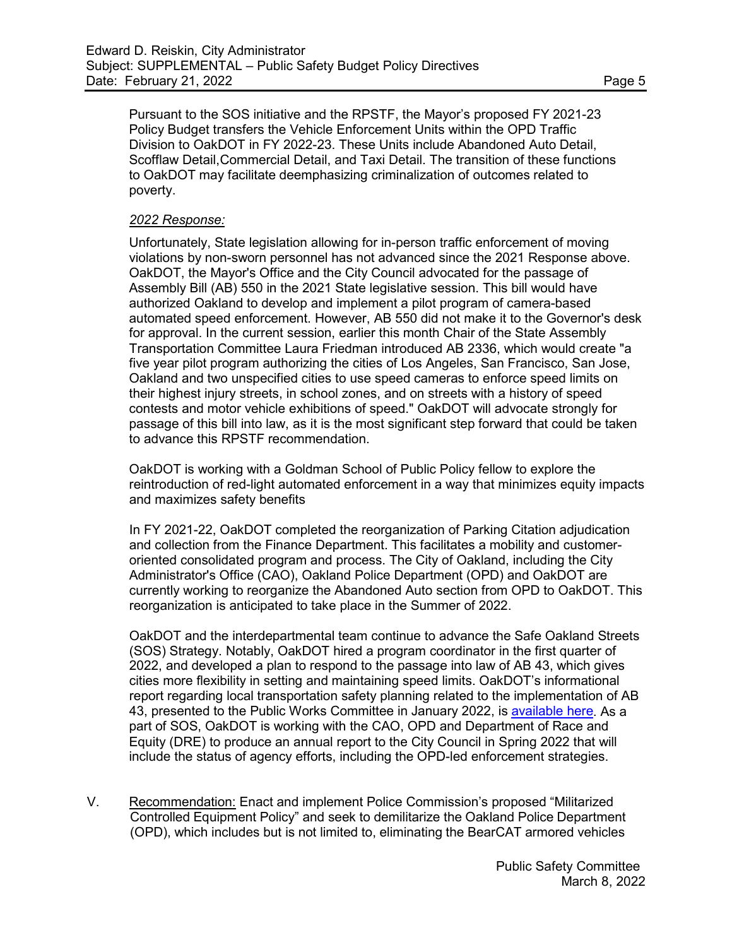Pursuant to the SOS initiative and the RPSTF, the Mayor's proposed FY 2021-23 Policy Budget transfers the Vehicle Enforcement Units within the OPD Traffic Division to OakDOT in FY 2022-23. These Units include Abandoned Auto Detail, Scofflaw Detail,Commercial Detail, and Taxi Detail. The transition of these functions to OakDOT may facilitate deemphasizing criminalization of outcomes related to poverty.

#### *2022 Response:*

Unfortunately, State legislation allowing for in-person traffic enforcement of moving violations by non-sworn personnel has not advanced since the 2021 Response above. OakDOT, the Mayor's Office and the City Council advocated for the passage of Assembly Bill (AB) 550 in the 2021 State legislative session. This bill would have authorized Oakland to develop and implement a pilot program of camera-based automated speed enforcement. However, AB 550 did not make it to the Governor's desk for approval. In the current session, earlier this month Chair of the State Assembly Transportation Committee Laura Friedman introduced AB 2336, which would create "a five year pilot program authorizing the cities of Los Angeles, San Francisco, San Jose, Oakland and two unspecified cities to use speed cameras to enforce speed limits on their highest injury streets, in school zones, and on streets with a history of speed contests and motor vehicle exhibitions of speed." OakDOT will advocate strongly for passage of this bill into law, as it is the most significant step forward that could be taken to advance this RPSTF recommendation.

OakDOT is working with a Goldman School of Public Policy fellow to explore the reintroduction of red-light automated enforcement in a way that minimizes equity impacts and maximizes safety benefits

In FY 2021-22, OakDOT completed the reorganization of Parking Citation adjudication and collection from the Finance Department. This facilitates a mobility and customeroriented consolidated program and process. The City of Oakland, including the City Administrator's Office (CAO), Oakland Police Department (OPD) and OakDOT are currently working to reorganize the Abandoned Auto section from OPD to OakDOT. This reorganization is anticipated to take place in the Summer of 2022.

OakDOT and the interdepartmental team continue to advance the Safe Oakland Streets (SOS) Strategy. Notably, OakDOT hired a program coordinator in the first quarter of 2022, and developed a plan to respond to the passage into law of AB 43, which gives cities more flexibility in setting and maintaining speed limits. OakDOT's informational report regarding local transportation safety planning related to the implementation of AB 43, presented to the Public Works Committee in January 2022, i[s available here.](https://oakland.legistar.com/LegislationDetail.aspx?ID=5204121&GUID=5720E2E3-EF6B-4D43-B7E2-3AD0C5A49E57) As a part of SOS, OakDOT is working with the CAO, OPD and Department of Race and Equity (DRE) to produce an annual report to the City Council in Spring 2022 that will include the status of agency efforts, including the OPD-led enforcement strategies.

V. Recommendation: Enact and implement Police Commission's proposed "Militarized Controlled Equipment Policy" and seek to demilitarize the Oakland Police Department (OPD), which includes but is not limited to, eliminating the BearCAT armored vehicles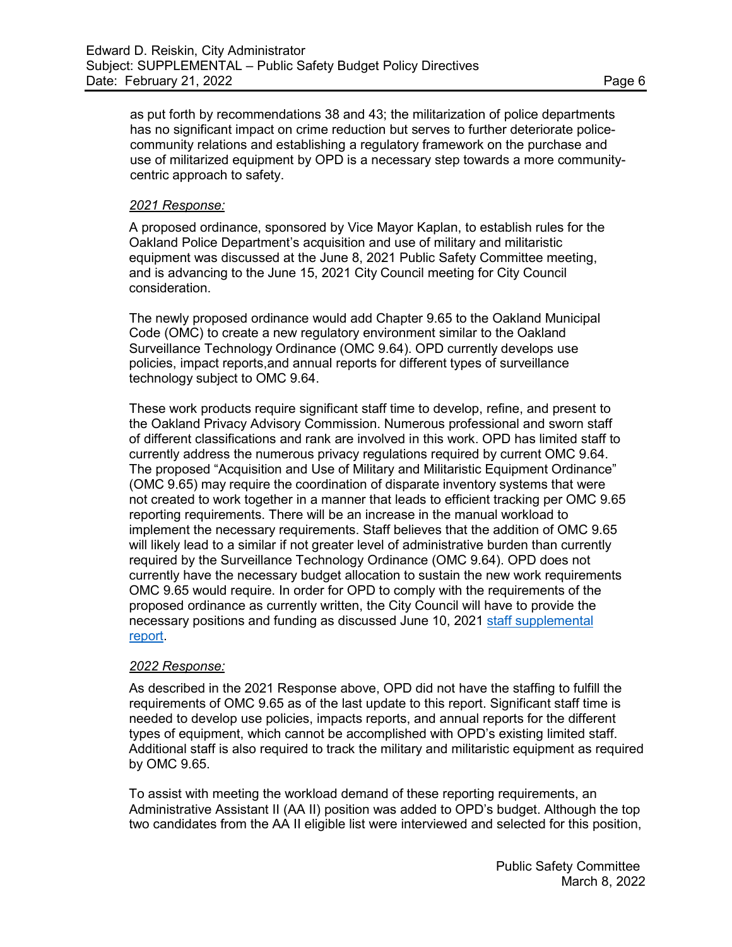as put forth by recommendations 38 and 43; the militarization of police departments has no significant impact on crime reduction but serves to further deteriorate policecommunity relations and establishing a regulatory framework on the purchase and use of militarized equipment by OPD is a necessary step towards a more communitycentric approach to safety.

#### *2021 Response:*

A proposed ordinance, sponsored by Vice Mayor Kaplan, to establish rules for the Oakland Police Department's acquisition and use of military and militaristic equipment was discussed at the June 8, 2021 Public Safety Committee meeting, and is advancing to the June 15, 2021 City Council meeting for City Council consideration.

The newly proposed ordinance would add Chapter 9.65 to the Oakland Municipal Code (OMC) to create a new regulatory environment similar to the Oakland Surveillance Technology Ordinance (OMC 9.64). OPD currently develops use policies, impact reports,and annual reports for different types of surveillance technology subject to OMC 9.64.

These work products require significant staff time to develop, refine, and present to the Oakland Privacy Advisory Commission. Numerous professional and sworn staff of different classifications and rank are involved in this work. OPD has limited staff to currently address the numerous privacy regulations required by current OMC 9.64. The proposed "Acquisition and Use of Military and Militaristic Equipment Ordinance" (OMC 9.65) may require the coordination of disparate inventory systems that were not created to work together in a manner that leads to efficient tracking per OMC 9.65 reporting requirements. There will be an increase in the manual workload to implement the necessary requirements. Staff believes that the addition of OMC 9.65 will likely lead to a similar if not greater level of administrative burden than currently required by the Surveillance Technology Ordinance (OMC 9.64). OPD does not currently have the necessary budget allocation to sustain the new work requirements OMC 9.65 would require. In order for OPD to comply with the requirements of the proposed ordinance as currently written, the City Council will have to provide the necessary positions and funding as discussed June 10, 2021 staff [supplemental](http://oakland.legistar.com/gateway.aspx?M=F&ID=9e26bbee-1bf8-4387-b0a3-0591d0320ceb.pdf)  [report.](http://oakland.legistar.com/gateway.aspx?M=F&ID=9e26bbee-1bf8-4387-b0a3-0591d0320ceb.pdf)

#### *2022 Response:*

As described in the 2021 Response above, OPD did not have the staffing to fulfill the requirements of OMC 9.65 as of the last update to this report. Significant staff time is needed to develop use policies, impacts reports, and annual reports for the different types of equipment, which cannot be accomplished with OPD's existing limited staff. Additional staff is also required to track the military and militaristic equipment as required by OMC 9.65.

To assist with meeting the workload demand of these reporting requirements, an Administrative Assistant II (AA II) position was added to OPD's budget. Although the top two candidates from the AA II eligible list were interviewed and selected for this position,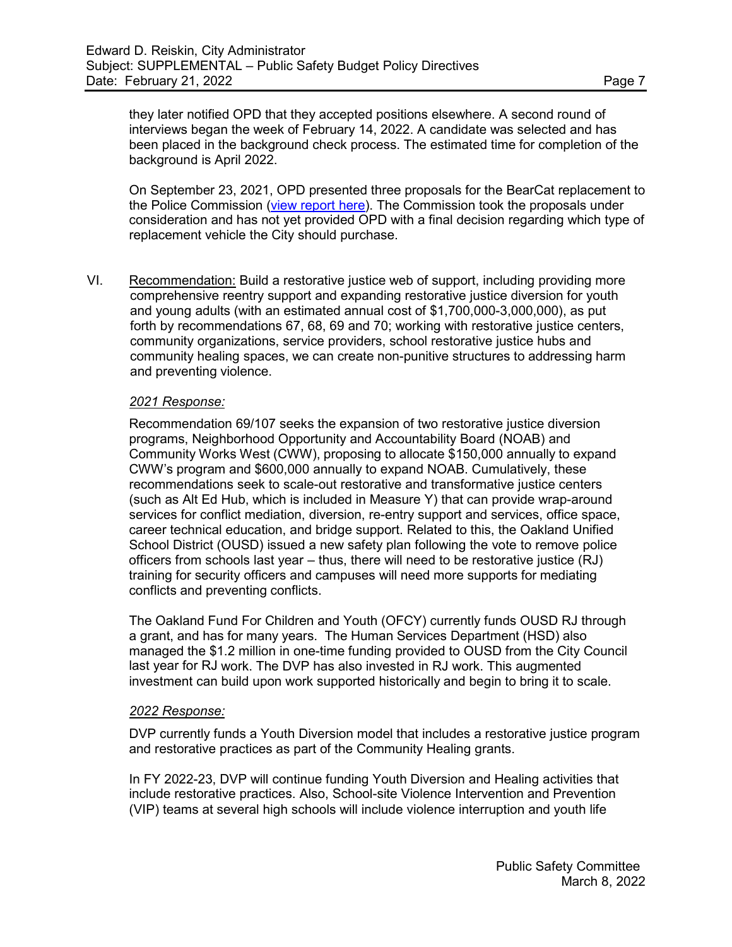they later notified OPD that they accepted positions elsewhere. A second round of interviews began the week of February 14, 2022. A candidate was selected and has been placed in the background check process. The estimated time for completion of the background is April 2022.

On September 23, 2021, OPD presented three proposals for the BearCat replacement to the Police Commission [\(view report here\)](https://cao-94612.s3.amazonaws.com/documents/Police-Commission-Meeting-9.23-packet.pdf). The Commission took the proposals under consideration and has not yet provided OPD with a final decision regarding which type of replacement vehicle the City should purchase.

VI. Recommendation: Build a restorative justice web of support, including providing more comprehensive reentry support and expanding restorative justice diversion for youth and young adults (with an estimated annual cost of \$1,700,000-3,000,000), as put forth by recommendations 67, 68, 69 and 70; working with restorative justice centers, community organizations, service providers, school restorative justice hubs and community healing spaces, we can create non-punitive structures to addressing harm and preventing violence.

#### *2021 Response:*

Recommendation 69/107 seeks the expansion of two restorative justice diversion programs, Neighborhood Opportunity and Accountability Board (NOAB) and Community Works West (CWW), proposing to allocate \$150,000 annually to expand CWW's program and \$600,000 annually to expand NOAB. Cumulatively, these recommendations seek to scale-out restorative and transformative justice centers (such as Alt Ed Hub, which is included in Measure Y) that can provide wrap-around services for conflict mediation, diversion, re-entry support and services, office space, career technical education, and bridge support. Related to this, the Oakland Unified School District (OUSD) issued a new safety plan following the vote to remove police officers from schools last year – thus, there will need to be restorative justice (RJ) training for security officers and campuses will need more supports for mediating conflicts and preventing conflicts.

The Oakland Fund For Children and Youth (OFCY) currently funds OUSD RJ through a grant, and has for many years. The Human Services Department (HSD) also managed the \$1.2 million in one-time funding provided to OUSD from the City Council last year for RJ work. The DVP has also invested in RJ work. This augmented investment can build upon work supported historically and begin to bring it to scale.

#### *2022 Response:*

DVP currently funds a Youth Diversion model that includes a restorative justice program and restorative practices as part of the Community Healing grants.

In FY 2022-23, DVP will continue funding Youth Diversion and Healing activities that include restorative practices. Also, School-site Violence Intervention and Prevention (VIP) teams at several high schools will include violence interruption and youth life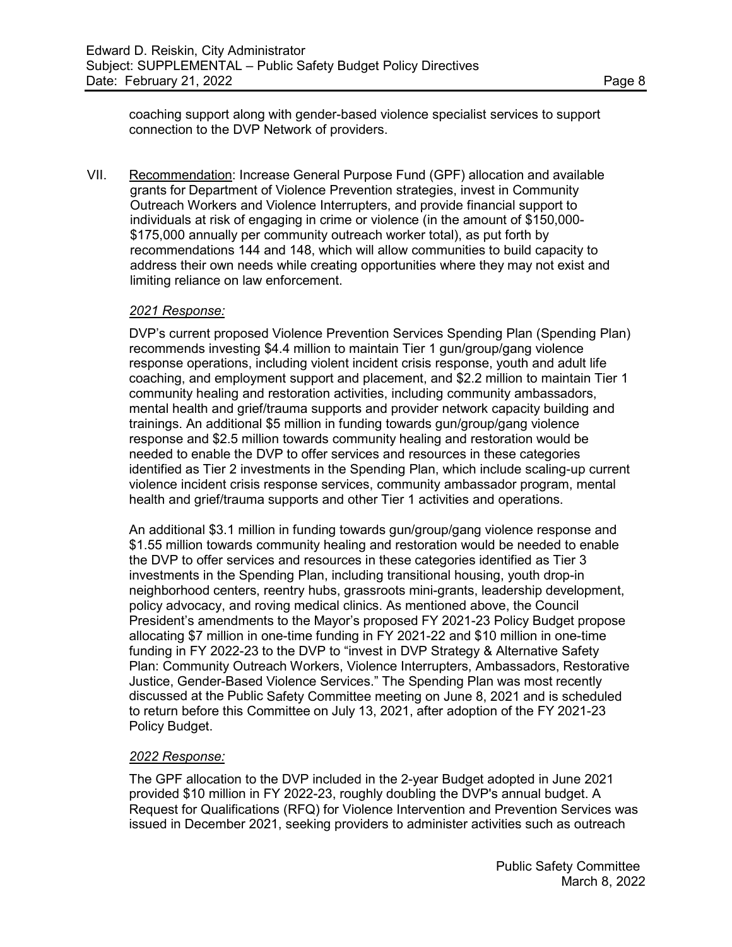coaching support along with gender-based violence specialist services to support connection to the DVP Network of providers.

VII. Recommendation: Increase General Purpose Fund (GPF) allocation and available grants for Department of Violence Prevention strategies, invest in Community Outreach Workers and Violence Interrupters, and provide financial support to individuals at risk of engaging in crime or violence (in the amount of \$150,000- \$175,000 annually per community outreach worker total), as put forth by recommendations 144 and 148, which will allow communities to build capacity to address their own needs while creating opportunities where they may not exist and limiting reliance on law enforcement.

#### *2021 Response:*

DVP's current proposed Violence Prevention Services Spending Plan (Spending Plan) recommends investing \$4.4 million to maintain Tier 1 gun/group/gang violence response operations, including violent incident crisis response, youth and adult life coaching, and employment support and placement, and \$2.2 million to maintain Tier 1 community healing and restoration activities, including community ambassadors, mental health and grief/trauma supports and provider network capacity building and trainings. An additional \$5 million in funding towards gun/group/gang violence response and \$2.5 million towards community healing and restoration would be needed to enable the DVP to offer services and resources in these categories identified as Tier 2 investments in the Spending Plan, which include scaling-up current violence incident crisis response services, community ambassador program, mental health and grief/trauma supports and other Tier 1 activities and operations.

An additional \$3.1 million in funding towards gun/group/gang violence response and \$1.55 million towards community healing and restoration would be needed to enable the DVP to offer services and resources in these categories identified as Tier 3 investments in the Spending Plan, including transitional housing, youth drop-in neighborhood centers, reentry hubs, grassroots mini-grants, leadership development, policy advocacy, and roving medical clinics. As mentioned above, the Council President's amendments to the Mayor's proposed FY 2021-23 Policy Budget propose allocating \$7 million in one-time funding in FY 2021-22 and \$10 million in one-time funding in FY 2022-23 to the DVP to "invest in DVP Strategy & Alternative Safety Plan: Community Outreach Workers, Violence Interrupters, Ambassadors, Restorative Justice, Gender-Based Violence Services." The Spending Plan was most recently discussed at the Public Safety Committee meeting on June 8, 2021 and is scheduled to return before this Committee on July 13, 2021, after adoption of the FY 2021-23 Policy Budget.

## *2022 Response:*

The GPF allocation to the DVP included in the 2-year Budget adopted in June 2021 provided \$10 million in FY 2022-23, roughly doubling the DVP's annual budget. A Request for Qualifications (RFQ) for Violence Intervention and Prevention Services was issued in December 2021, seeking providers to administer activities such as outreach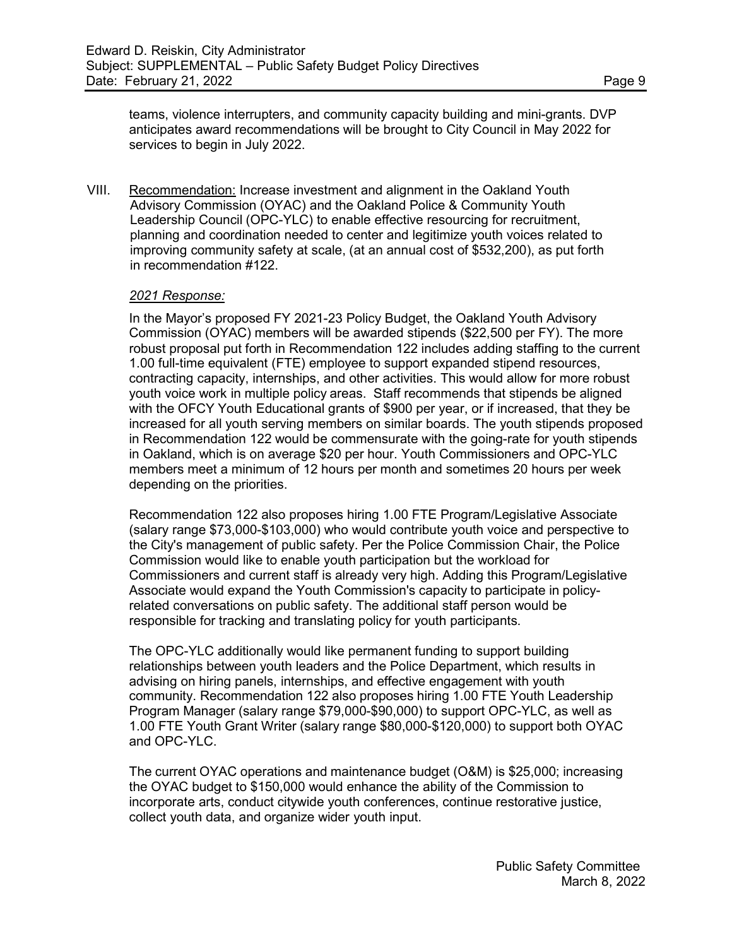teams, violence interrupters, and community capacity building and mini-grants. DVP anticipates award recommendations will be brought to City Council in May 2022 for services to begin in July 2022.

VIII. Recommendation: Increase investment and alignment in the Oakland Youth Advisory Commission (OYAC) and the Oakland Police & Community Youth Leadership Council (OPC-YLC) to enable effective resourcing for recruitment, planning and coordination needed to center and legitimize youth voices related to improving community safety at scale, (at an annual cost of \$532,200), as put forth in recommendation #122.

#### *2021 Response:*

In the Mayor's proposed FY 2021-23 Policy Budget, the Oakland Youth Advisory Commission (OYAC) members will be awarded stipends (\$22,500 per FY). The more robust proposal put forth in Recommendation 122 includes adding staffing to the current 1.00 full-time equivalent (FTE) employee to support expanded stipend resources, contracting capacity, internships, and other activities. This would allow for more robust youth voice work in multiple policy areas. Staff recommends that stipends be aligned with the OFCY Youth Educational grants of \$900 per year, or if increased, that they be increased for all youth serving members on similar boards. The youth stipends proposed in Recommendation 122 would be commensurate with the going-rate for youth stipends in Oakland, which is on average \$20 per hour. Youth Commissioners and OPC-YLC members meet a minimum of 12 hours per month and sometimes 20 hours per week depending on the priorities.

Recommendation 122 also proposes hiring 1.00 FTE Program/Legislative Associate (salary range \$73,000-\$103,000) who would contribute youth voice and perspective to the City's management of public safety. Per the Police Commission Chair, the Police Commission would like to enable youth participation but the workload for Commissioners and current staff is already very high. Adding this Program/Legislative Associate would expand the Youth Commission's capacity to participate in policyrelated conversations on public safety. The additional staff person would be responsible for tracking and translating policy for youth participants.

The OPC-YLC additionally would like permanent funding to support building relationships between youth leaders and the Police Department, which results in advising on hiring panels, internships, and effective engagement with youth community. Recommendation 122 also proposes hiring 1.00 FTE Youth Leadership Program Manager (salary range \$79,000-\$90,000) to support OPC-YLC, as well as 1.00 FTE Youth Grant Writer (salary range \$80,000-\$120,000) to support both OYAC and OPC-YLC.

The current OYAC operations and maintenance budget (O&M) is \$25,000; increasing the OYAC budget to \$150,000 would enhance the ability of the Commission to incorporate arts, conduct citywide youth conferences, continue restorative justice, collect youth data, and organize wider youth input.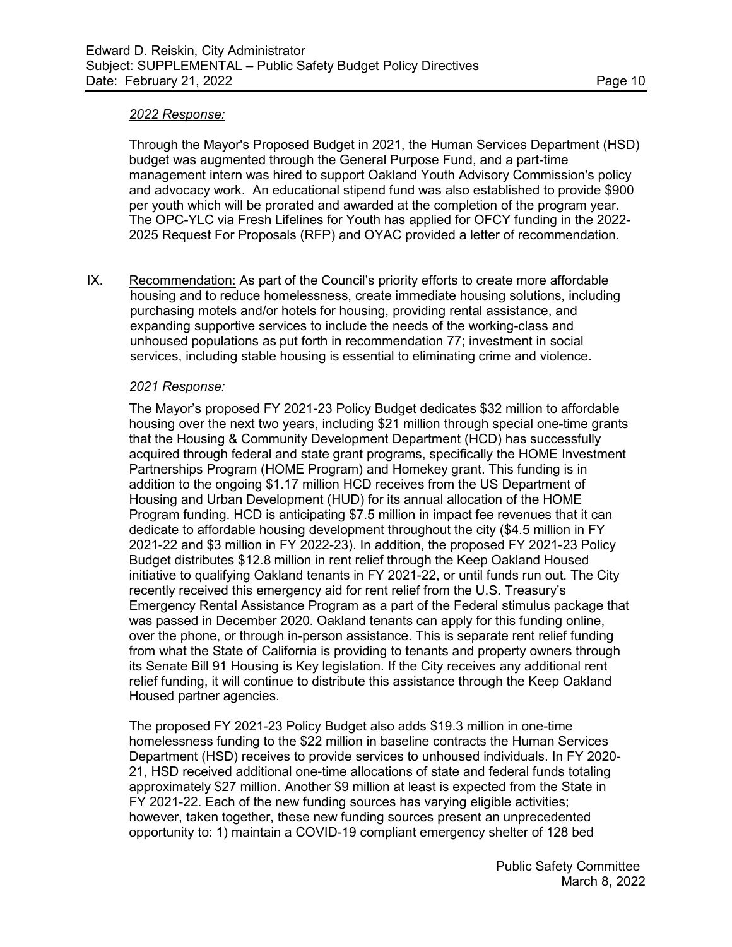#### *2022 Response:*

Through the Mayor's Proposed Budget in 2021, the Human Services Department (HSD) budget was augmented through the General Purpose Fund, and a part-time management intern was hired to support Oakland Youth Advisory Commission's policy and advocacy work. An educational stipend fund was also established to provide \$900 per youth which will be prorated and awarded at the completion of the program year. The OPC-YLC via Fresh Lifelines for Youth has applied for OFCY funding in the 2022- 2025 Request For Proposals (RFP) and OYAC provided a letter of recommendation.

IX. Recommendation: As part of the Council's priority efforts to create more affordable housing and to reduce homelessness, create immediate housing solutions, including purchasing motels and/or hotels for housing, providing rental assistance, and expanding supportive services to include the needs of the working-class and unhoused populations as put forth in recommendation 77; investment in social services, including stable housing is essential to eliminating crime and violence.

#### *2021 Response:*

The Mayor's proposed FY 2021-23 Policy Budget dedicates \$32 million to affordable housing over the next two years, including \$21 million through special one-time grants that the Housing & Community Development Department (HCD) has successfully acquired through federal and state grant programs, specifically the HOME Investment Partnerships Program (HOME Program) and Homekey grant. This funding is in addition to the ongoing \$1.17 million HCD receives from the US Department of Housing and Urban Development (HUD) for its annual allocation of the HOME Program funding. HCD is anticipating \$7.5 million in impact fee revenues that it can dedicate to affordable housing development throughout the city (\$4.5 million in FY 2021-22 and \$3 million in FY 2022-23). In addition, the proposed FY 2021-23 Policy Budget distributes \$12.8 million in rent relief through the Keep Oakland Housed initiative to qualifying Oakland tenants in FY 2021-22, or until funds run out. The City recently received this emergency aid for rent relief from the U.S. Treasury's Emergency Rental Assistance Program as a part of the Federal stimulus package that was passed in December 2020. Oakland tenants can apply for this funding online, over the phone, or through in-person assistance. This is separate rent relief funding from what the State of California is providing to tenants and property owners through its Senate Bill 91 Housing is Key legislation. If the City receives any additional rent relief funding, it will continue to distribute this assistance through the Keep Oakland Housed partner agencies.

The proposed FY 2021-23 Policy Budget also adds \$19.3 million in one-time homelessness funding to the \$22 million in baseline contracts the Human Services Department (HSD) receives to provide services to unhoused individuals. In FY 2020- 21, HSD received additional one-time allocations of state and federal funds totaling approximately \$27 million. Another \$9 million at least is expected from the State in FY 2021-22. Each of the new funding sources has varying eligible activities; however, taken together, these new funding sources present an unprecedented opportunity to: 1) maintain a COVID-19 compliant emergency shelter of 128 bed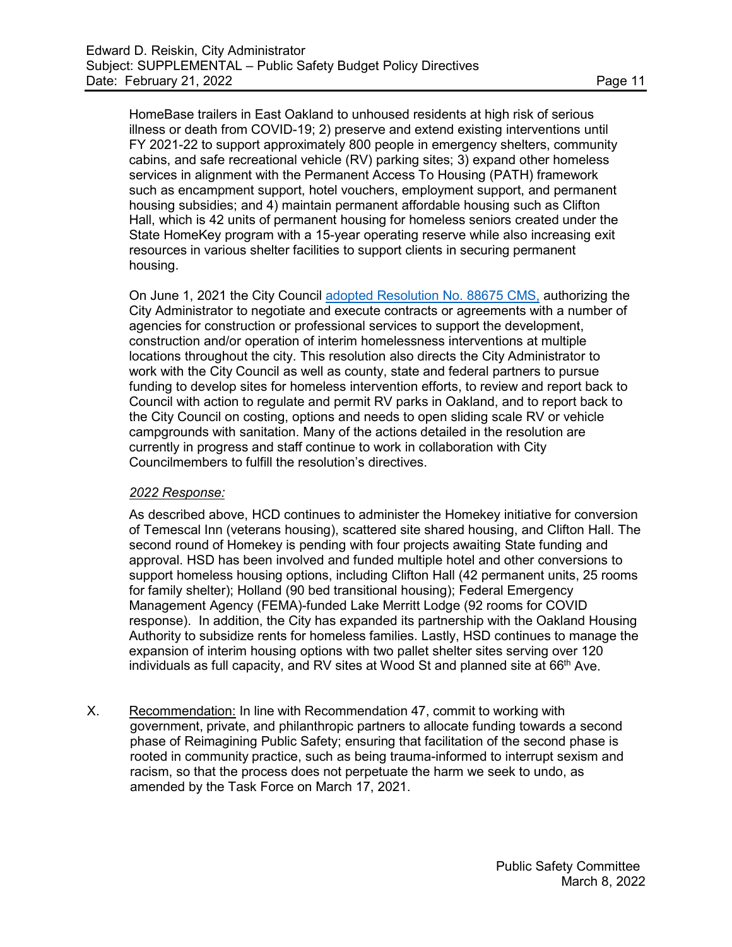HomeBase trailers in East Oakland to unhoused residents at high risk of serious illness or death from COVID-19; 2) preserve and extend existing interventions until FY 2021-22 to support approximately 800 people in emergency shelters, community cabins, and safe recreational vehicle (RV) parking sites; 3) expand other homeless services in alignment with the Permanent Access To Housing (PATH) framework such as encampment support, hotel vouchers, employment support, and permanent housing subsidies; and 4) maintain permanent affordable housing such as Clifton Hall, which is 42 units of permanent housing for homeless seniors created under the State HomeKey program with a 15-year operating reserve while also increasing exit resources in various shelter facilities to support clients in securing permanent housing.

On June 1, 2021 the City Council [adopted Resolution](https://oakland.legistar.com/LegislationDetail.aspx?ID=4958306&GUID=AEDD753F-45A9-4179-9EE9-CE450DD3E713) No. 88675 CMS, authorizing the City Administrator to negotiate and execute contracts or agreements with a number of agencies for construction or professional services to support the development, construction and/or operation of interim homelessness interventions at multiple locations throughout the city. This resolution also directs the City Administrator to work with the City Council as well as county, state and federal partners to pursue funding to develop sites for homeless intervention efforts, to review and report back to Council with action to regulate and permit RV parks in Oakland, and to report back to the City Council on costing, options and needs to open sliding scale RV or vehicle campgrounds with sanitation. Many of the actions detailed in the resolution are currently in progress and staff continue to work in collaboration with City Councilmembers to fulfill the resolution's directives.

## *2022 Response:*

As described above, HCD continues to administer the Homekey initiative for conversion of Temescal Inn (veterans housing), scattered site shared housing, and Clifton Hall. The second round of Homekey is pending with four projects awaiting State funding and approval. HSD has been involved and funded multiple hotel and other conversions to support homeless housing options, including Clifton Hall (42 permanent units, 25 rooms for family shelter); Holland (90 bed transitional housing); Federal Emergency Management Agency (FEMA)-funded Lake Merritt Lodge (92 rooms for COVID response). In addition, the City has expanded its partnership with the Oakland Housing Authority to subsidize rents for homeless families. Lastly, HSD continues to manage the expansion of interim housing options with two pallet shelter sites serving over 120 individuals as full capacity, and RV sites at Wood St and planned site at  $66<sup>th</sup>$  Ave.

X. Recommendation: In line with Recommendation 47, commit to working with government, private, and philanthropic partners to allocate funding towards a second phase of Reimagining Public Safety; ensuring that facilitation of the second phase is rooted in community practice, such as being trauma-informed to interrupt sexism and racism, so that the process does not perpetuate the harm we seek to undo, as amended by the Task Force on March 17, 2021.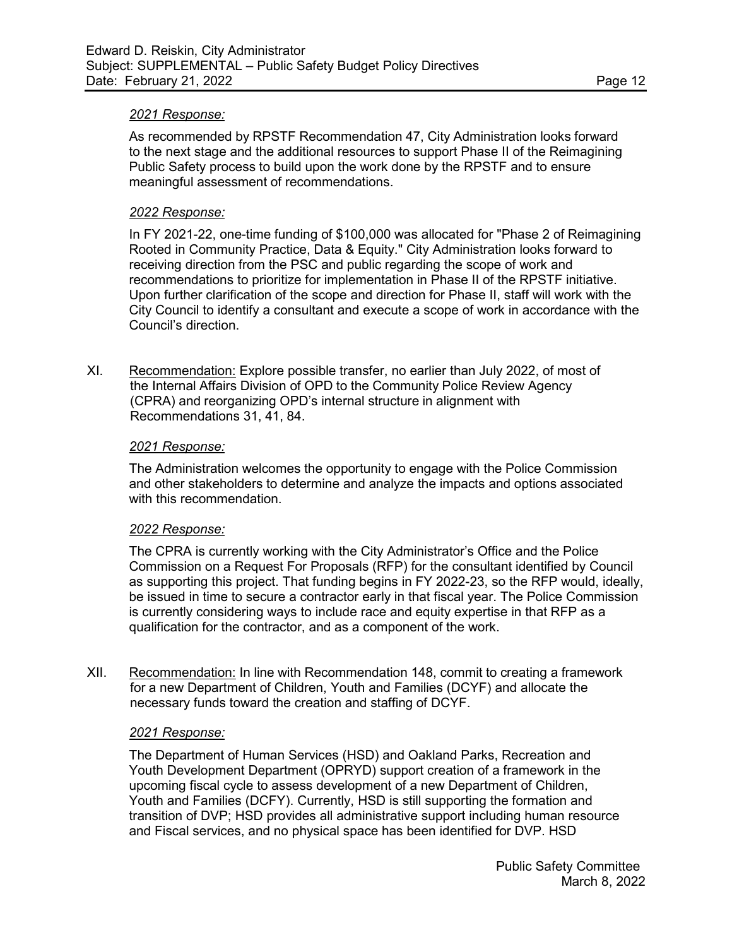#### *2021 Response:*

As recommended by RPSTF Recommendation 47, City Administration looks forward to the next stage and the additional resources to support Phase II of the Reimagining Public Safety process to build upon the work done by the RPSTF and to ensure meaningful assessment of recommendations.

#### *2022 Response:*

In FY 2021-22, one-time funding of \$100,000 was allocated for "Phase 2 of Reimagining Rooted in Community Practice, Data & Equity." City Administration looks forward to receiving direction from the PSC and public regarding the scope of work and recommendations to prioritize for implementation in Phase II of the RPSTF initiative. Upon further clarification of the scope and direction for Phase II, staff will work with the City Council to identify a consultant and execute a scope of work in accordance with the Council's direction.

XI. Recommendation: Explore possible transfer, no earlier than July 2022, of most of the Internal Affairs Division of OPD to the Community Police Review Agency (CPRA) and reorganizing OPD's internal structure in alignment with Recommendations 31, 41, 84.

#### *2021 Response:*

The Administration welcomes the opportunity to engage with the Police Commission and other stakeholders to determine and analyze the impacts and options associated with this recommendation.

#### *2022 Response:*

The CPRA is currently working with the City Administrator's Office and the Police Commission on a Request For Proposals (RFP) for the consultant identified by Council as supporting this project. That funding begins in FY 2022-23, so the RFP would, ideally, be issued in time to secure a contractor early in that fiscal year. The Police Commission is currently considering ways to include race and equity expertise in that RFP as a qualification for the contractor, and as a component of the work.

XII. Recommendation: In line with Recommendation 148, commit to creating a framework for a new Department of Children, Youth and Families (DCYF) and allocate the necessary funds toward the creation and staffing of DCYF.

#### *2021 Response:*

The Department of Human Services (HSD) and Oakland Parks, Recreation and Youth Development Department (OPRYD) support creation of a framework in the upcoming fiscal cycle to assess development of a new Department of Children, Youth and Families (DCFY). Currently, HSD is still supporting the formation and transition of DVP; HSD provides all administrative support including human resource and Fiscal services, and no physical space has been identified for DVP. HSD